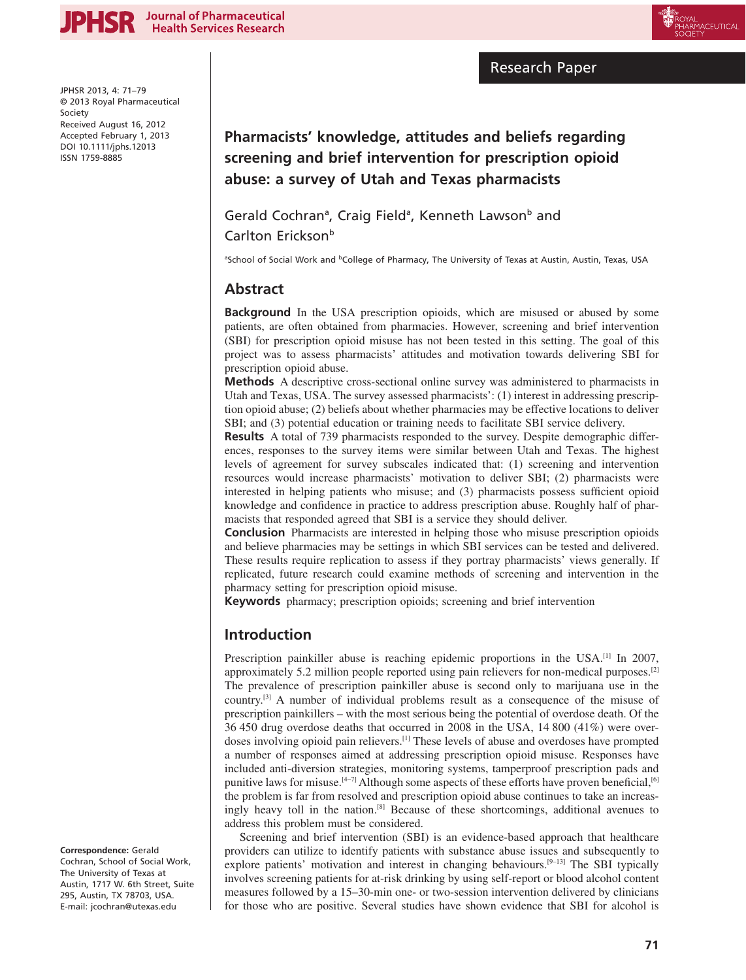

JPHSR 2013, 4: 71–79 © 2013 Royal Pharmaceutical Society Received August 16, 2012 Accepted February 1, 2013 DOI 10.1111/jphs.12013 ISSN 1759-8885



<sup>\L</sup><br>RMACEUTICAL

# **Pharmacists' knowledge, attitudes and beliefs regarding screening and brief intervention for prescription opioid abuse: a survey of Utah and Texas pharmacists**

# Gerald Cochran<sup>a</sup>, Craig Field<sup>a</sup>, Kenneth Lawson<sup>b</sup> and Carlton Frickson<sup>b</sup>

aSchool of Social Work and <sup>b</sup>College of Pharmacy, The University of Texas at Austin, Austin, Texas, USA

# **Abstract**

**Background** In the USA prescription opioids, which are misused or abused by some patients, are often obtained from pharmacies. However, screening and brief intervention (SBI) for prescription opioid misuse has not been tested in this setting. The goal of this project was to assess pharmacists' attitudes and motivation towards delivering SBI for prescription opioid abuse.

**Methods** A descriptive cross-sectional online survey was administered to pharmacists in Utah and Texas, USA. The survey assessed pharmacists': (1) interest in addressing prescription opioid abuse; (2) beliefs about whether pharmacies may be effective locations to deliver SBI; and (3) potential education or training needs to facilitate SBI service delivery.

**Results** A total of 739 pharmacists responded to the survey. Despite demographic differences, responses to the survey items were similar between Utah and Texas. The highest levels of agreement for survey subscales indicated that: (1) screening and intervention resources would increase pharmacists' motivation to deliver SBI; (2) pharmacists were interested in helping patients who misuse; and (3) pharmacists possess sufficient opioid knowledge and confidence in practice to address prescription abuse. Roughly half of pharmacists that responded agreed that SBI is a service they should deliver.

**Conclusion** Pharmacists are interested in helping those who misuse prescription opioids and believe pharmacies may be settings in which SBI services can be tested and delivered. These results require replication to assess if they portray pharmacists' views generally. If replicated, future research could examine methods of screening and intervention in the pharmacy setting for prescription opioid misuse.

**Keywords** pharmacy; prescription opioids; screening and brief intervention

# **Introduction**

Prescription painkiller abuse is reaching epidemic proportions in the USA.<sup>[1]</sup> In 2007, approximately 5.2 million people reported using pain relievers for non-medical purposes.[2] The prevalence of prescription painkiller abuse is second only to marijuana use in the country.[3] A number of individual problems result as a consequence of the misuse of prescription painkillers – with the most serious being the potential of overdose death. Of the 36 450 drug overdose deaths that occurred in 2008 in the USA, 14 800 (41%) were overdoses involving opioid pain relievers.<sup>[1]</sup> These levels of abuse and overdoses have prompted a number of responses aimed at addressing prescription opioid misuse. Responses have included anti-diversion strategies, monitoring systems, tamperproof prescription pads and punitive laws for misuse.<sup>[4–7]</sup> Although some aspects of these efforts have proven beneficial,<sup>[6]</sup> the problem is far from resolved and prescription opioid abuse continues to take an increasingly heavy toll in the nation.[8] Because of these shortcomings, additional avenues to address this problem must be considered.

Screening and brief intervention (SBI) is an evidence-based approach that healthcare providers can utilize to identify patients with substance abuse issues and subsequently to explore patients' motivation and interest in changing behaviours.[9–13] The SBI typically involves screening patients for at-risk drinking by using self-report or blood alcohol content measures followed by a 15–30-min one- or two-session intervention delivered by clinicians for those who are positive. Several studies have shown evidence that SBI for alcohol is

**Correspondence:** Gerald Cochran, School of Social Work, The University of Texas at Austin, 1717 W. 6th Street, Suite 295, Austin, TX 78703, USA. E-mail: jcochran@utexas.edu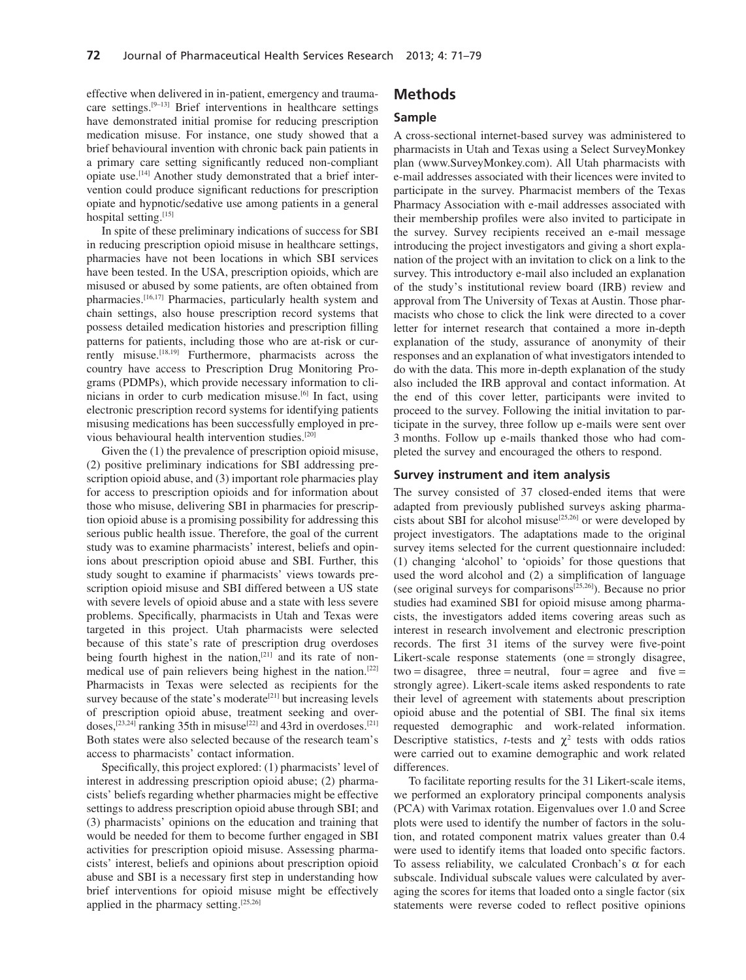effective when delivered in in-patient, emergency and traumacare settings. $[9-13]$  Brief interventions in healthcare settings have demonstrated initial promise for reducing prescription medication misuse. For instance, one study showed that a brief behavioural invention with chronic back pain patients in a primary care setting significantly reduced non-compliant opiate use.[14] Another study demonstrated that a brief intervention could produce significant reductions for prescription opiate and hypnotic/sedative use among patients in a general hospital setting.<sup>[15]</sup>

In spite of these preliminary indications of success for SBI in reducing prescription opioid misuse in healthcare settings, pharmacies have not been locations in which SBI services have been tested. In the USA, prescription opioids, which are misused or abused by some patients, are often obtained from pharmacies.[16,17] Pharmacies, particularly health system and chain settings, also house prescription record systems that possess detailed medication histories and prescription filling patterns for patients, including those who are at-risk or currently misuse.<sup>[18,19]</sup> Furthermore, pharmacists across the country have access to Prescription Drug Monitoring Programs (PDMPs), which provide necessary information to clinicians in order to curb medication misuse.<sup>[6]</sup> In fact, using electronic prescription record systems for identifying patients misusing medications has been successfully employed in previous behavioural health intervention studies.[20]

Given the (1) the prevalence of prescription opioid misuse, (2) positive preliminary indications for SBI addressing prescription opioid abuse, and (3) important role pharmacies play for access to prescription opioids and for information about those who misuse, delivering SBI in pharmacies for prescription opioid abuse is a promising possibility for addressing this serious public health issue. Therefore, the goal of the current study was to examine pharmacists' interest, beliefs and opinions about prescription opioid abuse and SBI. Further, this study sought to examine if pharmacists' views towards prescription opioid misuse and SBI differed between a US state with severe levels of opioid abuse and a state with less severe problems. Specifically, pharmacists in Utah and Texas were targeted in this project. Utah pharmacists were selected because of this state's rate of prescription drug overdoses being fourth highest in the nation, $[21]$  and its rate of nonmedical use of pain relievers being highest in the nation.[22] Pharmacists in Texas were selected as recipients for the survey because of the state's moderate<sup>[21]</sup> but increasing levels of prescription opioid abuse, treatment seeking and overdoses,<sup>[23,24]</sup> ranking 35th in misuse<sup>[22]</sup> and 43rd in overdoses.<sup>[21]</sup> Both states were also selected because of the research team's access to pharmacists' contact information.

Specifically, this project explored: (1) pharmacists' level of interest in addressing prescription opioid abuse; (2) pharmacists' beliefs regarding whether pharmacies might be effective settings to address prescription opioid abuse through SBI; and (3) pharmacists' opinions on the education and training that would be needed for them to become further engaged in SBI activities for prescription opioid misuse. Assessing pharmacists' interest, beliefs and opinions about prescription opioid abuse and SBI is a necessary first step in understanding how brief interventions for opioid misuse might be effectively applied in the pharmacy setting.[25,26]

# **Methods**

## **Sample**

A cross-sectional internet-based survey was administered to pharmacists in Utah and Texas using a Select SurveyMonkey plan (www.SurveyMonkey.com). All Utah pharmacists with e-mail addresses associated with their licences were invited to participate in the survey. Pharmacist members of the Texas Pharmacy Association with e-mail addresses associated with their membership profiles were also invited to participate in the survey. Survey recipients received an e-mail message introducing the project investigators and giving a short explanation of the project with an invitation to click on a link to the survey. This introductory e-mail also included an explanation of the study's institutional review board (IRB) review and approval from The University of Texas at Austin. Those pharmacists who chose to click the link were directed to a cover letter for internet research that contained a more in-depth explanation of the study, assurance of anonymity of their responses and an explanation of what investigators intended to do with the data. This more in-depth explanation of the study also included the IRB approval and contact information. At the end of this cover letter, participants were invited to proceed to the survey. Following the initial invitation to participate in the survey, three follow up e-mails were sent over 3 months. Follow up e-mails thanked those who had completed the survey and encouraged the others to respond.

## **Survey instrument and item analysis**

The survey consisted of 37 closed-ended items that were adapted from previously published surveys asking pharmacists about SBI for alcohol misuse<sup>[25,26]</sup> or were developed by project investigators. The adaptations made to the original survey items selected for the current questionnaire included: (1) changing 'alcohol' to 'opioids' for those questions that used the word alcohol and (2) a simplification of language (see original surveys for comparisons[25,26]). Because no prior studies had examined SBI for opioid misuse among pharmacists, the investigators added items covering areas such as interest in research involvement and electronic prescription records. The first 31 items of the survey were five-point Likert-scale response statements (one = strongly disagree,  $two = disagree$ , three = neutral, four = agree and five = strongly agree). Likert-scale items asked respondents to rate their level of agreement with statements about prescription opioid abuse and the potential of SBI. The final six items requested demographic and work-related information. Descriptive statistics, *t*-tests and  $\chi^2$  tests with odds ratios were carried out to examine demographic and work related differences.

To facilitate reporting results for the 31 Likert-scale items, we performed an exploratory principal components analysis (PCA) with Varimax rotation. Eigenvalues over 1.0 and Scree plots were used to identify the number of factors in the solution, and rotated component matrix values greater than 0.4 were used to identify items that loaded onto specific factors. To assess reliability, we calculated Cronbach's  $\alpha$  for each subscale. Individual subscale values were calculated by averaging the scores for items that loaded onto a single factor (six statements were reverse coded to reflect positive opinions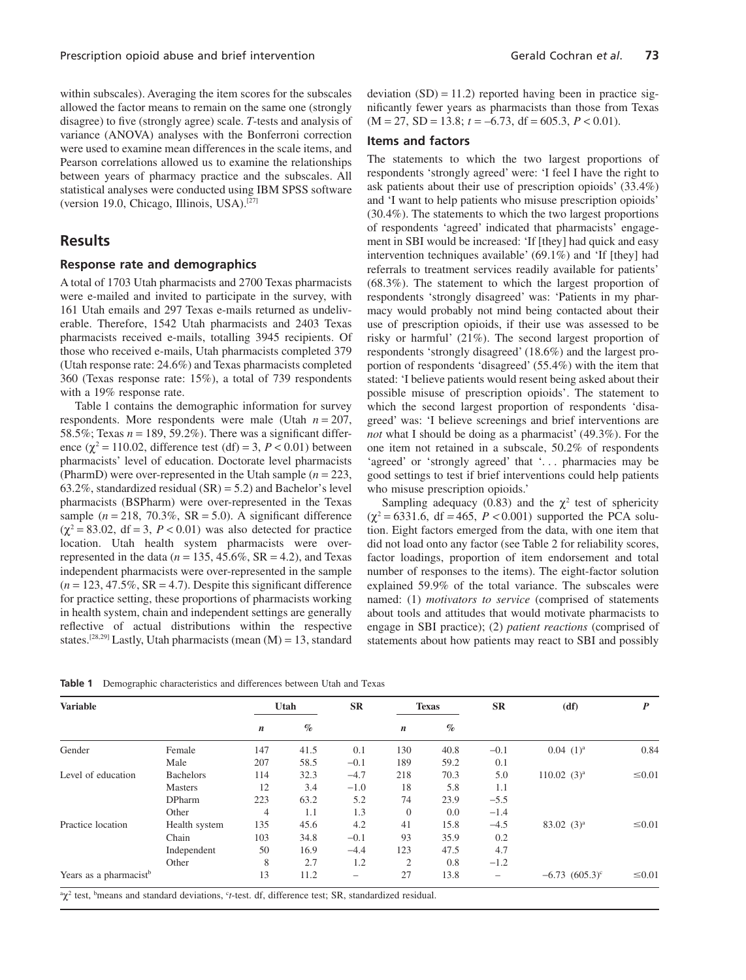within subscales). Averaging the item scores for the subscales allowed the factor means to remain on the same one (strongly disagree) to five (strongly agree) scale. *T*-tests and analysis of variance (ANOVA) analyses with the Bonferroni correction were used to examine mean differences in the scale items, and Pearson correlations allowed us to examine the relationships between years of pharmacy practice and the subscales. All statistical analyses were conducted using IBM SPSS software (version 19.0, Chicago, Illinois, USA).[27]

# **Results**

# **Response rate and demographics**

A total of 1703 Utah pharmacists and 2700 Texas pharmacists were e-mailed and invited to participate in the survey, with 161 Utah emails and 297 Texas e-mails returned as undeliverable. Therefore, 1542 Utah pharmacists and 2403 Texas pharmacists received e-mails, totalling 3945 recipients. Of those who received e-mails, Utah pharmacists completed 379 (Utah response rate: 24.6%) and Texas pharmacists completed 360 (Texas response rate: 15%), a total of 739 respondents with a 19% response rate.

Table 1 contains the demographic information for survey respondents. More respondents were male (Utah *n* = 207, 58.5%; Texas  $n = 189, 59.2\%$ ). There was a significant difference ( $\chi^2$  = 110.02, difference test (df) = 3, *P* < 0.01) between pharmacists' level of education. Doctorate level pharmacists (PharmD) were over-represented in the Utah sample (*n* = 223, 63.2%, standardized residual  $(SR) = 5.2$ ) and Bachelor's level pharmacists (BSPharm) were over-represented in the Texas sample  $(n = 218, 70.3\%$ ,  $SR = 5.0$ ). A significant difference  $(\chi^2 = 83.02, df = 3, P < 0.01)$  was also detected for practice location. Utah health system pharmacists were overrepresented in the data ( $n = 135, 45.6\%$ , SR = 4.2), and Texas independent pharmacists were over-represented in the sample  $(n = 123, 47.5\%, SR = 4.7)$ . Despite this significant difference for practice setting, these proportions of pharmacists working in health system, chain and independent settings are generally reflective of actual distributions within the respective states.<sup>[28,29]</sup> Lastly, Utah pharmacists (mean  $(M) = 13$ , standard deviation  $(SD) = 11.2$ ) reported having been in practice significantly fewer years as pharmacists than those from Texas  $(M = 27, SD = 13.8; t = -6.73, df = 605.3, P < 0.01$ .

# **Items and factors**

The statements to which the two largest proportions of respondents 'strongly agreed' were: 'I feel I have the right to ask patients about their use of prescription opioids' (33.4%) and 'I want to help patients who misuse prescription opioids' (30.4%). The statements to which the two largest proportions of respondents 'agreed' indicated that pharmacists' engagement in SBI would be increased: 'If [they] had quick and easy intervention techniques available' (69.1%) and 'If [they] had referrals to treatment services readily available for patients' (68.3%). The statement to which the largest proportion of respondents 'strongly disagreed' was: 'Patients in my pharmacy would probably not mind being contacted about their use of prescription opioids, if their use was assessed to be risky or harmful' (21%). The second largest proportion of respondents 'strongly disagreed' (18.6%) and the largest proportion of respondents 'disagreed' (55.4%) with the item that stated: 'I believe patients would resent being asked about their possible misuse of prescription opioids'. The statement to which the second largest proportion of respondents 'disagreed' was: 'I believe screenings and brief interventions are *not* what I should be doing as a pharmacist' (49.3%). For the one item not retained in a subscale, 50.2% of respondents 'agreed' or 'strongly agreed' that '. . . pharmacies may be good settings to test if brief interventions could help patients who misuse prescription opioids.'

Sampling adequacy (0.83) and the  $\chi^2$  test of sphericity  $(\chi^2 = 6331.6, df = 465, P < 0.001)$  supported the PCA solution. Eight factors emerged from the data, with one item that did not load onto any factor (see Table 2 for reliability scores, factor loadings, proportion of item endorsement and total number of responses to the items). The eight-factor solution explained 59.9% of the total variance. The subscales were named: (1) *motivators to service* (comprised of statements about tools and attitudes that would motivate pharmacists to engage in SBI practice); (2) *patient reactions* (comprised of statements about how patients may react to SBI and possibly

**Table 1** Demographic characteristics and differences between Utah and Texas

| <b>Variable</b>                    |                  | Utah             |      | <b>SR</b> | <b>Texas</b>     |      | <b>SR</b> | (df)                      | P           |
|------------------------------------|------------------|------------------|------|-----------|------------------|------|-----------|---------------------------|-------------|
|                                    |                  | $\boldsymbol{n}$ | $\%$ |           | $\boldsymbol{n}$ | $\%$ |           |                           |             |
| Gender                             | Female           | 147              | 41.5 | 0.1       | 130              | 40.8 | $-0.1$    | $0.04$ $(1)^a$            | 0.84        |
|                                    | Male             | 207              | 58.5 | $-0.1$    | 189              | 59.2 | 0.1       |                           |             |
| Level of education                 | <b>Bachelors</b> | 114              | 32.3 | $-4.7$    | 218              | 70.3 | 5.0       | $110.02$ $(3)^a$          | $\leq 0.01$ |
|                                    | <b>Masters</b>   | 12               | 3.4  | $-1.0$    | 18               | 5.8  | 1.1       |                           |             |
|                                    | <b>DPharm</b>    | 223              | 63.2 | 5.2       | 74               | 23.9 | $-5.5$    |                           |             |
|                                    | Other            | $\overline{4}$   | 1.1  | 1.3       | $\Omega$         | 0.0  | $-1.4$    |                           |             |
| Practice location                  | Health system    | 135              | 45.6 | 4.2       | 41               | 15.8 | $-4.5$    | $83.02(3)^a$              | $\leq 0.01$ |
|                                    | Chain            | 103              | 34.8 | $-0.1$    | 93               | 35.9 | 0.2       |                           |             |
|                                    | Independent      | 50               | 16.9 | $-4.4$    | 123              | 47.5 | 4.7       |                           |             |
|                                    | Other            | 8                | 2.7  | 1.2       | $\overline{2}$   | 0.8  | $-1.2$    |                           |             |
| Years as a pharmacist <sup>b</sup> |                  | 13               | 11.2 |           | 27               | 13.8 |           | $-6.73$ $(605.3)^{\circ}$ | $\leq 0.01$ |

<sup>a</sup>χ<sup>2</sup> test, <sup>b</sup>means and standard deviations, <sup>c</sup>t-test. df, difference test; SR, standardized residual.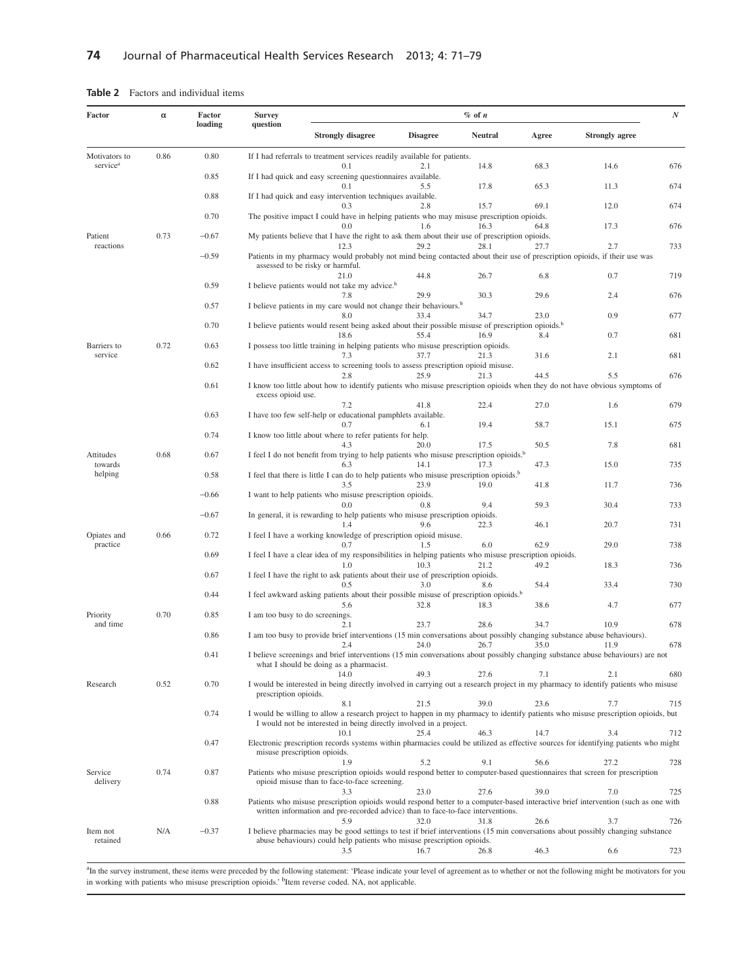#### **Factor a C***Ractor* **loading Survey question**  $\%$  of *n*  $\qquad$ **Strongly disagree Disagree Neutral Agree Strongly agree** Motivators to service<sup>a</sup> 0.86 0.80 If I had referrals to treatment services readily available for patients. 0.1 2.1 14.8 68.3 14.6 676 0.85 If I had quick and easy screening questionnaires available.<br>0.1 0.1 5.5 17.8 65.3 11.3 674 0.88 If I had quick and easy intervention techniques available<br>0.3 2.8 0.3 2.8 15.7 69.1 12.0 674 0.70 The positive impact I could have in helping patients who may misuse prescription opioids.<br>0.0 1.6.3 64.8 0.0 1.6 16.3 64.8 17.3 676 Patient reactions 0.73 -0.67 My patients believe that I have the right to ask them about their use of prescription opioids.<br>12.3 29.2 28.1 27.7 12.3 29.2 28.1 27.7 2.7 733 -0.59 Patients in my pharmacy would probably not mind being contacted about their use of prescription opioids, if their use was assessed to be risky or harmful.<br>21.0 21.0 44.8 26.7 6.8 0.7 719 0.59 I believe patients would not take my advice.<sup>b</sup> 7.8 29.9 30.3 29.6 2.4 676 0.57 I believe patients in my care would not change their behaviours.<sup>b</sup> 8.0 33.4 8.0 33.4 34.7 23.0 0.9 677 0.70 I believe patients would resent being asked about their possible misuse of prescription opioids.<sup>b</sup><br>16.9 8.4 16.9 8.4 18.6 55.4 16.9 8.4 0.7 681 Barriers to service 0.72 0.63 I possess too little training in helping patients who misuse prescription opioids<br> $\frac{7.3}{7.3}$  37.7 21.3 7.3 37.7 21.3 31.6 2.1 681 0.62 I have insufficient access to screening tools to assess prescription opioid misuse.<br>2.8 25.9 21.3 2.8 25.9 21.3 44.5 5.5 676 0.61 I know too little about how to identify patients who misuse prescription opioids when they do not have obvious symptoms of excess opioid use. 7.2 41.8 22.4 27.0 1.6 679 0.63 I have too few self-help or educational pamphlets available.<br>0.7 6.1 0.7 6.1 19.4 58.7 15.1 675 0.74 I know too little about where to refer patients for help.<br>4.3 20.0 4.3 20.0 17.5 50.5 7.8 681 Attitudes towards helping 0.68 0.67 I feel I do not benefit from trying to help patients who misuse prescription opioids.<br>6.3 14.1 17.3 6.3 14.1 17.3 47.3 15.0 735 0.58 I feel that there is little I can do to help patients who misuse prescription opioids.<sup>b</sup> 3.5 23.9 19.0 41.8 11.7 736 -0.66 I want to help patients who misuse prescription opioids. 0.0 0.8 9.4 59.3 30.4 733 -0.67 In general, it is rewarding to help patients who misuse prescription opioids. 1.4 9.6 22.3 46.1 20.7 731 Opiates and practice 0.66 0.72 I feel I have a working knowledge of prescription opioid misuse.<br>0.7 1.5 0.7 1.5 6.0 62.9 29.0 738 0.69 I feel I have a clear idea of my responsibilities in helping patients who misuse prescription opioids.<br>1.0 10.3 21.2 49.2 1.0 10.3 21.2 49.2 18.3 736 0.67 I feel I have the right to ask patients about their use of prescription opioids  $\frac{0.5}{0.5}$  3.0 8.6 0.5 3.0 8.6 54.4 33.4 730 0.44 I feel awkward asking patients about their possible misuse of prescription opioids.<sup>b</sup> 5.6 32.8 18.3 5.6 32.8 18.3 38.6 4.7 677 Priority and time 0.70 0.85 I am too busy to do screenings. 2.1 23.7 28.6 34.7 10.9 678 0.86 I am too busy to provide brief interventions (15 min conversations about possibly changing substance abuse behaviours). 2.4 24.0 26.7 35.0 11.9 678 0.41 I believe screenings and brief interventions (15 min conversations about possibly changing substance abuse behaviours) are not what I should be doing as a pharmacist. 14.0 49.3 27.6 7.1 2.1 680 Research 0.52 0.70 I would be interested in being directly involved in carrying out a research project in my pharmacy to identify patients who misuse prescription opioids. 8.1 21.5 39.0 23.6 7.7 715 0.74 I would be willing to allow a research project to happen in my pharmacy to identify patients who misuse prescription opioids, but I would not be interested in being directly involved in a project.<br> $\frac{10}{254}$ 10.1 25.4 46.3 14.7 3.4 712 0.47 Electronic prescription records systems within pharmacies could be utilized as effective sources for identifying patients who might misuse prescription opioids. 1.9 5.2 9.1 56.6 27.2 728 Service delivery 0.74 0.87 Patients who misuse prescription opioids would respond better to computer-based questionnaires that screen for prescription opioid misuse than to face-to-face screening. 3.3 23.0 27.6 39.0 7.0 725 0.88 Patients who misuse prescription opioids would respond better to a computer-based interactive brief intervention (such as one with written information and pre-recorded advice) than to face-to-face interventions.<br>5.9  $(32.0 \times 32.0)$ 5.9 32.0 31.8 26.6 3.7 726 N/A -0.37 I believe pharmacies may be good settings to test if brief interventions (15 min conversations about possibly changing substance Item not retained abuse behaviours) could help patients who misuse prescription opioids. 3.5 16.7 26.8 46.3 6.6 723

#### **Table 2** Factors and individual items

<sup>a</sup>In the survey instrument, these items were preceded by the following statement: 'Please indicate your level of agreement as to whether or not the following might be motivators for you in working with patients who misuse prescription opioids.' <sup>b</sup>Item reverse coded. NA, not applicable.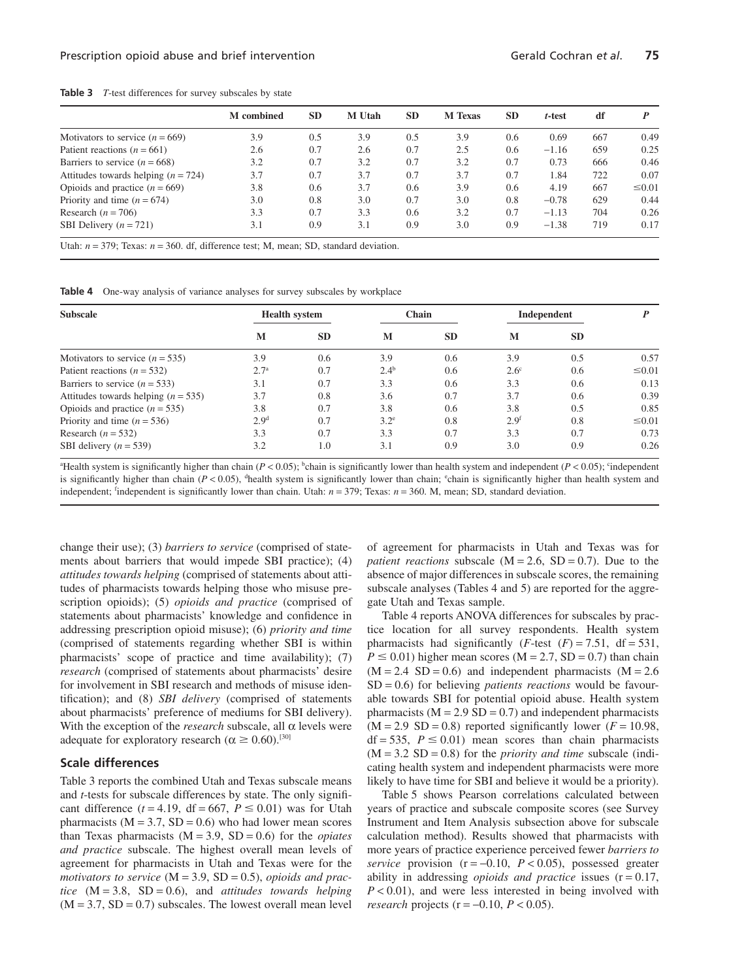|  |  |  | <b>Table 3</b> T-test differences for survey subscales by state |  |  |  |  |  |
|--|--|--|-----------------------------------------------------------------|--|--|--|--|--|
|--|--|--|-----------------------------------------------------------------|--|--|--|--|--|

|                                                                                            | <b>M</b> combined | <b>SD</b> | <b>M</b> Utah | <b>SD</b> | <b>M</b> Texas | <b>SD</b> | t-test  | df  |             |
|--------------------------------------------------------------------------------------------|-------------------|-----------|---------------|-----------|----------------|-----------|---------|-----|-------------|
| Motivators to service $(n = 669)$                                                          | 3.9               | 0.5       | 3.9           | 0.5       | 3.9            | 0.6       | 0.69    | 667 | 0.49        |
| Patient reactions $(n = 661)$                                                              | 2.6               | 0.7       | 2.6           | 0.7       | 2.5            | 0.6       | $-1.16$ | 659 | 0.25        |
| Barriers to service $(n = 668)$                                                            | 3.2               | 0.7       | 3.2           | 0.7       | 3.2            | 0.7       | 0.73    | 666 | 0.46        |
| Attitudes towards helping $(n = 724)$                                                      | 3.7               | 0.7       | 3.7           | 0.7       | 3.7            | 0.7       | 1.84    | 722 | 0.07        |
| Opioids and practice $(n = 669)$                                                           | 3.8               | 0.6       | 3.7           | 0.6       | 3.9            | 0.6       | 4.19    | 667 | $\leq 0.01$ |
| Priority and time $(n = 674)$                                                              | 3.0               | 0.8       | 3.0           | 0.7       | 3.0            | 0.8       | $-0.78$ | 629 | 0.44        |
| Research ( $n = 706$ )                                                                     | 3.3               | 0.7       | 3.3           | 0.6       | 3.2            | 0.7       | $-1.13$ | 704 | 0.26        |
| SBI Delivery $(n = 721)$                                                                   | 3.1               | 0.9       | 3.1           | 0.9       | 3.0            | 0.9       | $-1.38$ | 719 | 0.17        |
| Utah: $n = 379$ ; Texas: $n = 360$ . df, difference test; M, mean; SD, standard deviation. |                   |           |               |           |                |           |         |     |             |

**Table 4** One-way analysis of variance analyses for survey subscales by workplace

| <b>Subscale</b>                       | <b>Health system</b> |           |           | Chain     | Independent      |           |             |
|---------------------------------------|----------------------|-----------|-----------|-----------|------------------|-----------|-------------|
|                                       | М                    | <b>SD</b> | M         | <b>SD</b> | M                | <b>SD</b> |             |
| Motivators to service $(n = 535)$     | 3.9                  | 0.6       | 3.9       | 0.6       | 3.9              | 0.5       | 0.57        |
| Patient reactions $(n = 532)$         | 2.7 <sup>a</sup>     | 0.7       | $2.4^{b}$ | 0.6       | $2.6^\circ$      | 0.6       | $\leq 0.01$ |
| Barriers to service $(n = 533)$       | 3.1                  | 0.7       | 3.3       | 0.6       | 3.3              | 0.6       | 0.13        |
| Attitudes towards helping $(n = 535)$ | 3.7                  | 0.8       | 3.6       | 0.7       | 3.7              | 0.6       | 0.39        |
| Opioids and practice $(n = 535)$      | 3.8                  | 0.7       | 3.8       | 0.6       | 3.8              | 0.5       | 0.85        |
| Priority and time $(n = 536)$         | 2.9 <sup>d</sup>     | 0.7       | $3.2^e$   | 0.8       | 2.9 <sup>f</sup> | 0.8       | $\leq 0.01$ |
| Research $(n = 532)$                  | 3.3                  | 0.7       | 3.3       | 0.7       | 3.3              | 0.7       | 0.73        |
| SBI delivery $(n = 539)$              | 3.2                  | 1.0       | 3.1       | 0.9       | 3.0              | 0.9       | 0.26        |

Health system is significantly higher than chain  $(P < 0.05)$ ; "chain is significantly lower than health system and independent  $(P < 0.05)$ ; "independent" is significantly higher than chain (*P* < 0.05), <sup>d</sup>health system is significantly lower than chain; "chain is significantly higher than health system and independent; <sup>f</sup>independent is significantly lower than chain. Utah:  $n = 379$ ; Texas:  $n = 360$ . M, mean; SD, standard deviation.

change their use); (3) *barriers to service* (comprised of statements about barriers that would impede SBI practice); (4) *attitudes towards helping* (comprised of statements about attitudes of pharmacists towards helping those who misuse prescription opioids); (5) *opioids and practice* (comprised of statements about pharmacists' knowledge and confidence in addressing prescription opioid misuse); (6) *priority and time* (comprised of statements regarding whether SBI is within pharmacists' scope of practice and time availability); (7) *research* (comprised of statements about pharmacists' desire for involvement in SBI research and methods of misuse identification); and (8) *SBI delivery* (comprised of statements about pharmacists' preference of mediums for SBI delivery). With the exception of the *research* subscale, all  $\alpha$  levels were adequate for exploratory research ( $\alpha \ge 0.60$ ).<sup>[30]</sup>

# **Scale differences**

Table 3 reports the combined Utah and Texas subscale means and *t*-tests for subscale differences by state. The only significant difference  $(t = 4.19, df = 667, P \le 0.01)$  was for Utah pharmacists  $(M = 3.7, SD = 0.6)$  who had lower mean scores than Texas pharmacists (M = 3.9, SD = 0.6) for the *opiates and practice* subscale. The highest overall mean levels of agreement for pharmacists in Utah and Texas were for the *motivators to service* (M = 3.9, SD = 0.5), *opioids and practice* (M = 3.8, SD = 0.6), and *attitudes towards helping*  $(M = 3.7, SD = 0.7)$  subscales. The lowest overall mean level of agreement for pharmacists in Utah and Texas was for *patient reactions* subscale  $(M = 2.6, SD = 0.7)$ . Due to the absence of major differences in subscale scores, the remaining subscale analyses (Tables 4 and 5) are reported for the aggregate Utah and Texas sample.

Table 4 reports ANOVA differences for subscales by practice location for all survey respondents. Health system pharmacists had significantly (*F*-test (*F*) = 7.51, df = 531,  $P \le 0.01$ ) higher mean scores (M = 2.7, SD = 0.7) than chain  $(M = 2.4 \text{ SD} = 0.6)$  and independent pharmacists  $(M = 2.6 \text{ N})$ SD = 0.6) for believing *patients reactions* would be favourable towards SBI for potential opioid abuse. Health system pharmacists ( $M = 2.9$  SD = 0.7) and independent pharmacists  $(M = 2.9 SD = 0.8)$  reported significantly lower  $(F = 10.98,$  $df = 535$ ,  $P \le 0.01$ ) mean scores than chain pharmacists (M = 3.2 SD = 0.8) for the *priority and time* subscale (indicating health system and independent pharmacists were more likely to have time for SBI and believe it would be a priority).

Table 5 shows Pearson correlations calculated between years of practice and subscale composite scores (see Survey Instrument and Item Analysis subsection above for subscale calculation method). Results showed that pharmacists with more years of practice experience perceived fewer *barriers to service* provision  $(r = -0.10, P < 0.05)$ , possessed greater ability in addressing *opioids and practice* issues (r = 0.17, *P* < 0.01), and were less interested in being involved with *research* projects  $(r = -0.10, P < 0.05)$ .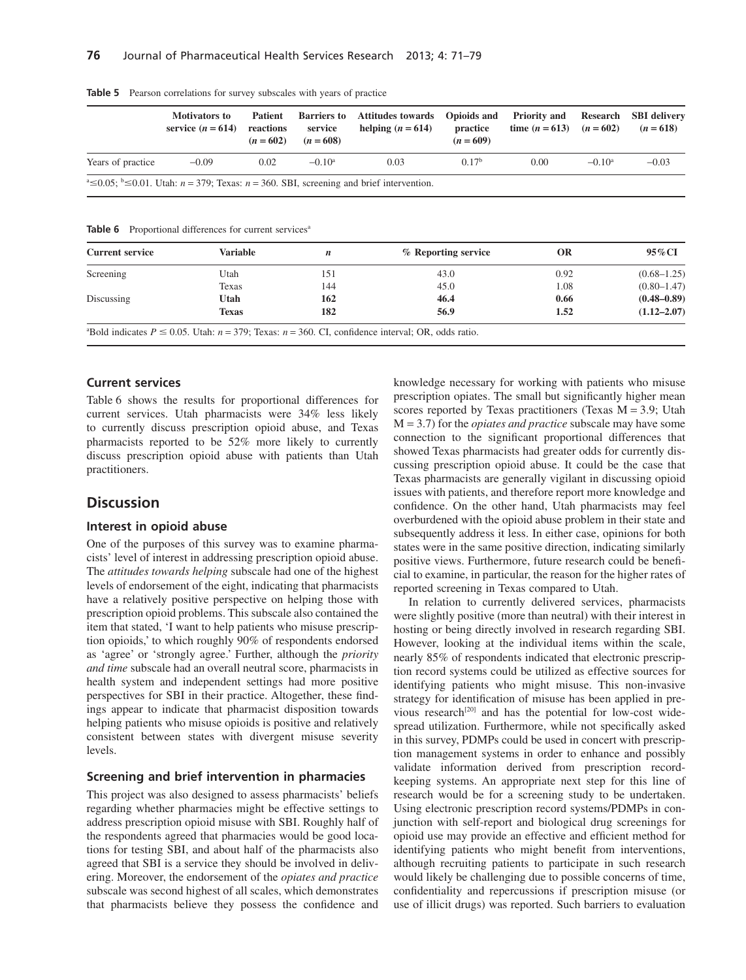|                   | <b>Motivators to</b><br>service $(n = 614)$ | <b>Patient</b><br>reactions<br>$(n = 602)$ | <b>Barriers to</b><br>service<br>$(n = 608)$ | <b>Attitudes towards</b><br>helping $(n = 614)$                                                               | <b>Opioids and</b><br>practice<br>$(n = 609)$ | <b>Priority and</b><br>time $(n = 613)$ | $(n = 602)$ | Research SBI delivery<br>$(n = 618)$ |
|-------------------|---------------------------------------------|--------------------------------------------|----------------------------------------------|---------------------------------------------------------------------------------------------------------------|-----------------------------------------------|-----------------------------------------|-------------|--------------------------------------|
| Years of practice | $-0.09$                                     | 0.02                                       | $-0.10^a$                                    | 0.03                                                                                                          | 0.17 <sup>b</sup>                             | 0.00                                    | $-0.10^a$   | $-0.03$                              |
|                   |                                             |                                            |                                              | $\approx 0.05$ ; $\approx 0.01$ . Utah: $n = 379$ ; Texas: $n = 360$ . SBI, screening and brief intervention. |                                               |                                         |             |                                      |

**Table 5** Pearson correlations for survey subscales with years of practice

**Table 6** Proportional differences for current services<sup>a</sup>

| <b>Current service</b> | Variable     | $\boldsymbol{n}$ | % Reporting service | <b>OR</b> | 95% CI          |
|------------------------|--------------|------------------|---------------------|-----------|-----------------|
| Screening              | Utah         | 151              | 43.0                | 0.92      | $(0.68 - 1.25)$ |
|                        | Texas        | 144              | 45.0                | 1.08      | $(0.80 - 1.47)$ |
| Discussing             | Utah         | 162              | 46.4                | 0.66      | $(0.48 - 0.89)$ |
|                        | <b>Texas</b> | 182              | 56.9                | 1.52      | $(1.12 - 2.07)$ |

# **Current services**

Table 6 shows the results for proportional differences for current services. Utah pharmacists were 34% less likely to currently discuss prescription opioid abuse, and Texas pharmacists reported to be 52% more likely to currently discuss prescription opioid abuse with patients than Utah practitioners.

# **Discussion**

#### **Interest in opioid abuse**

One of the purposes of this survey was to examine pharmacists' level of interest in addressing prescription opioid abuse. The *attitudes towards helping* subscale had one of the highest levels of endorsement of the eight, indicating that pharmacists have a relatively positive perspective on helping those with prescription opioid problems. This subscale also contained the item that stated, 'I want to help patients who misuse prescription opioids,' to which roughly 90% of respondents endorsed as 'agree' or 'strongly agree.' Further, although the *priority and time* subscale had an overall neutral score, pharmacists in health system and independent settings had more positive perspectives for SBI in their practice. Altogether, these findings appear to indicate that pharmacist disposition towards helping patients who misuse opioids is positive and relatively consistent between states with divergent misuse severity levels.

#### **Screening and brief intervention in pharmacies**

This project was also designed to assess pharmacists' beliefs regarding whether pharmacies might be effective settings to address prescription opioid misuse with SBI. Roughly half of the respondents agreed that pharmacies would be good locations for testing SBI, and about half of the pharmacists also agreed that SBI is a service they should be involved in delivering. Moreover, the endorsement of the *opiates and practice* subscale was second highest of all scales, which demonstrates that pharmacists believe they possess the confidence and

knowledge necessary for working with patients who misuse prescription opiates. The small but significantly higher mean scores reported by Texas practitioners (Texas  $M = 3.9$ ; Utah M = 3.7) for the *opiates and practice* subscale may have some connection to the significant proportional differences that showed Texas pharmacists had greater odds for currently discussing prescription opioid abuse. It could be the case that Texas pharmacists are generally vigilant in discussing opioid issues with patients, and therefore report more knowledge and confidence. On the other hand, Utah pharmacists may feel overburdened with the opioid abuse problem in their state and subsequently address it less. In either case, opinions for both states were in the same positive direction, indicating similarly positive views. Furthermore, future research could be beneficial to examine, in particular, the reason for the higher rates of reported screening in Texas compared to Utah.

In relation to currently delivered services, pharmacists were slightly positive (more than neutral) with their interest in hosting or being directly involved in research regarding SBI. However, looking at the individual items within the scale, nearly 85% of respondents indicated that electronic prescription record systems could be utilized as effective sources for identifying patients who might misuse. This non-invasive strategy for identification of misuse has been applied in previous research<sup>[20]</sup> and has the potential for low-cost widespread utilization. Furthermore, while not specifically asked in this survey, PDMPs could be used in concert with prescription management systems in order to enhance and possibly validate information derived from prescription recordkeeping systems. An appropriate next step for this line of research would be for a screening study to be undertaken. Using electronic prescription record systems/PDMPs in conjunction with self-report and biological drug screenings for opioid use may provide an effective and efficient method for identifying patients who might benefit from interventions, although recruiting patients to participate in such research would likely be challenging due to possible concerns of time, confidentiality and repercussions if prescription misuse (or use of illicit drugs) was reported. Such barriers to evaluation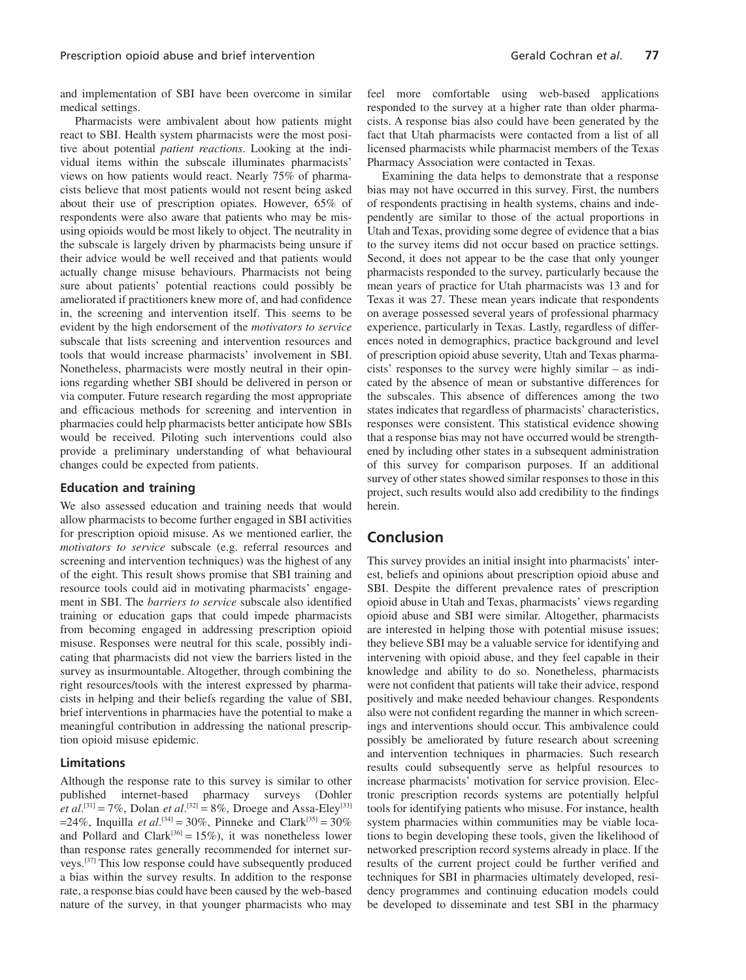and implementation of SBI have been overcome in similar medical settings.

Pharmacists were ambivalent about how patients might react to SBI. Health system pharmacists were the most positive about potential *patient reactions*. Looking at the individual items within the subscale illuminates pharmacists' views on how patients would react. Nearly 75% of pharmacists believe that most patients would not resent being asked about their use of prescription opiates. However, 65% of respondents were also aware that patients who may be misusing opioids would be most likely to object. The neutrality in the subscale is largely driven by pharmacists being unsure if their advice would be well received and that patients would actually change misuse behaviours. Pharmacists not being sure about patients' potential reactions could possibly be ameliorated if practitioners knew more of, and had confidence in, the screening and intervention itself. This seems to be evident by the high endorsement of the *motivators to service* subscale that lists screening and intervention resources and tools that would increase pharmacists' involvement in SBI. Nonetheless, pharmacists were mostly neutral in their opinions regarding whether SBI should be delivered in person or via computer. Future research regarding the most appropriate and efficacious methods for screening and intervention in pharmacies could help pharmacists better anticipate how SBIs would be received. Piloting such interventions could also provide a preliminary understanding of what behavioural changes could be expected from patients.

#### **Education and training**

We also assessed education and training needs that would allow pharmacists to become further engaged in SBI activities for prescription opioid misuse. As we mentioned earlier, the *motivators to service* subscale (e.g. referral resources and screening and intervention techniques) was the highest of any of the eight. This result shows promise that SBI training and resource tools could aid in motivating pharmacists' engagement in SBI. The *barriers to service* subscale also identified training or education gaps that could impede pharmacists from becoming engaged in addressing prescription opioid misuse. Responses were neutral for this scale, possibly indicating that pharmacists did not view the barriers listed in the survey as insurmountable. Altogether, through combining the right resources/tools with the interest expressed by pharmacists in helping and their beliefs regarding the value of SBI, brief interventions in pharmacies have the potential to make a meaningful contribution in addressing the national prescription opioid misuse epidemic.

#### **Limitations**

Although the response rate to this survey is similar to other published internet-based pharmacy surveys (Dohler *et al.*<sup>[31]</sup> = 7%, Dolan *et al.*<sup>[32]</sup> = 8%, Droege and Assa-Eley<sup>[33]</sup>  $=$  24%, Inquilla *et al*.<sup>[34]</sup> = 30%, Pinneke and Clark<sup>[35]</sup> = 30% and Pollard and Clark<sup>[36]</sup> = 15%), it was nonetheless lower than response rates generally recommended for internet surveys.[37] This low response could have subsequently produced a bias within the survey results. In addition to the response rate, a response bias could have been caused by the web-based nature of the survey, in that younger pharmacists who may

feel more comfortable using web-based applications responded to the survey at a higher rate than older pharmacists. A response bias also could have been generated by the fact that Utah pharmacists were contacted from a list of all licensed pharmacists while pharmacist members of the Texas Pharmacy Association were contacted in Texas.

Examining the data helps to demonstrate that a response bias may not have occurred in this survey. First, the numbers of respondents practising in health systems, chains and independently are similar to those of the actual proportions in Utah and Texas, providing some degree of evidence that a bias to the survey items did not occur based on practice settings. Second, it does not appear to be the case that only younger pharmacists responded to the survey, particularly because the mean years of practice for Utah pharmacists was 13 and for Texas it was 27. These mean years indicate that respondents on average possessed several years of professional pharmacy experience, particularly in Texas. Lastly, regardless of differences noted in demographics, practice background and level of prescription opioid abuse severity, Utah and Texas pharmacists' responses to the survey were highly similar – as indicated by the absence of mean or substantive differences for the subscales. This absence of differences among the two states indicates that regardless of pharmacists' characteristics, responses were consistent. This statistical evidence showing that a response bias may not have occurred would be strengthened by including other states in a subsequent administration of this survey for comparison purposes. If an additional survey of other states showed similar responses to those in this project, such results would also add credibility to the findings herein.

# **Conclusion**

This survey provides an initial insight into pharmacists' interest, beliefs and opinions about prescription opioid abuse and SBI. Despite the different prevalence rates of prescription opioid abuse in Utah and Texas, pharmacists' views regarding opioid abuse and SBI were similar. Altogether, pharmacists are interested in helping those with potential misuse issues; they believe SBI may be a valuable service for identifying and intervening with opioid abuse, and they feel capable in their knowledge and ability to do so. Nonetheless, pharmacists were not confident that patients will take their advice, respond positively and make needed behaviour changes. Respondents also were not confident regarding the manner in which screenings and interventions should occur. This ambivalence could possibly be ameliorated by future research about screening and intervention techniques in pharmacies. Such research results could subsequently serve as helpful resources to increase pharmacists' motivation for service provision. Electronic prescription records systems are potentially helpful tools for identifying patients who misuse. For instance, health system pharmacies within communities may be viable locations to begin developing these tools, given the likelihood of networked prescription record systems already in place. If the results of the current project could be further verified and techniques for SBI in pharmacies ultimately developed, residency programmes and continuing education models could be developed to disseminate and test SBI in the pharmacy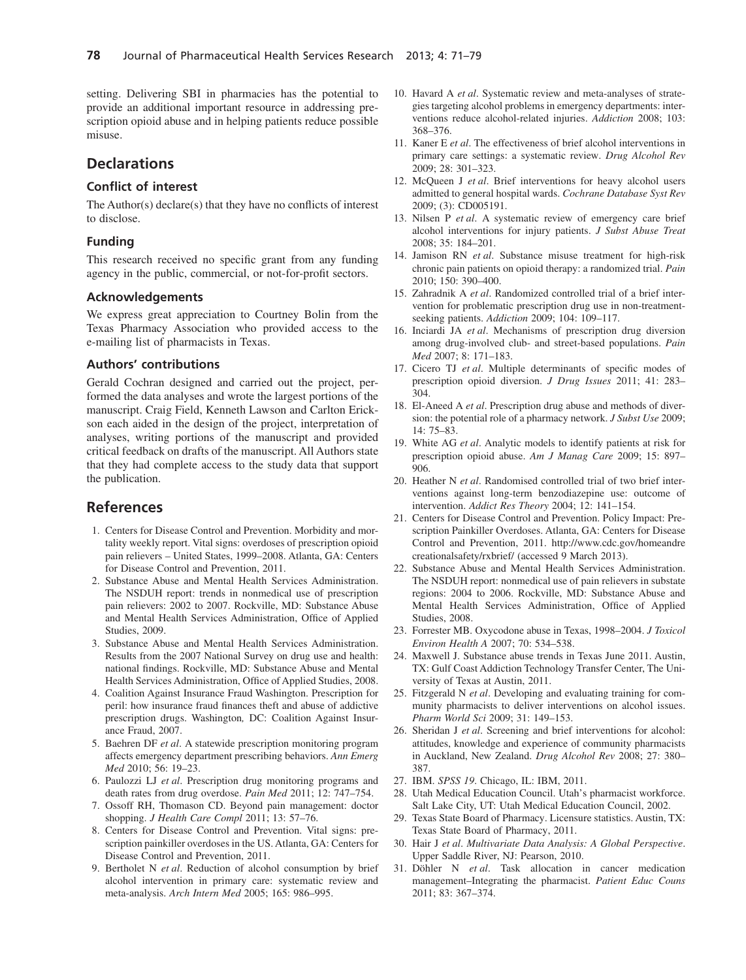setting. Delivering SBI in pharmacies has the potential to provide an additional important resource in addressing prescription opioid abuse and in helping patients reduce possible misuse.

# **Declarations**

## **Conflict of interest**

The Author(s) declare(s) that they have no conflicts of interest to disclose.

# **Funding**

This research received no specific grant from any funding agency in the public, commercial, or not-for-profit sectors.

## **Acknowledgements**

We express great appreciation to Courtney Bolin from the Texas Pharmacy Association who provided access to the e-mailing list of pharmacists in Texas.

## **Authors' contributions**

Gerald Cochran designed and carried out the project, performed the data analyses and wrote the largest portions of the manuscript. Craig Field, Kenneth Lawson and Carlton Erickson each aided in the design of the project, interpretation of analyses, writing portions of the manuscript and provided critical feedback on drafts of the manuscript. All Authors state that they had complete access to the study data that support the publication.

# **References**

- 1. Centers for Disease Control and Prevention. Morbidity and mortality weekly report. Vital signs: overdoses of prescription opioid pain relievers – United States, 1999–2008. Atlanta, GA: Centers for Disease Control and Prevention, 2011.
- 2. Substance Abuse and Mental Health Services Administration. The NSDUH report: trends in nonmedical use of prescription pain relievers: 2002 to 2007. Rockville, MD: Substance Abuse and Mental Health Services Administration, Office of Applied Studies, 2009.
- 3. Substance Abuse and Mental Health Services Administration. Results from the 2007 National Survey on drug use and health: national findings. Rockville, MD: Substance Abuse and Mental Health Services Administration, Office of Applied Studies, 2008.
- 4. Coalition Against Insurance Fraud Washington. Prescription for peril: how insurance fraud finances theft and abuse of addictive prescription drugs. Washington*,* DC: Coalition Against Insurance Fraud, 2007.
- 5. Baehren DF *et al*. A statewide prescription monitoring program affects emergency department prescribing behaviors. *Ann Emerg Med* 2010; 56: 19–23.
- 6. Paulozzi LJ *et al*. Prescription drug monitoring programs and death rates from drug overdose. *Pain Med* 2011; 12: 747–754.
- 7. Ossoff RH, Thomason CD. Beyond pain management: doctor shopping. *J Health Care Compl* 2011; 13: 57–76.
- 8. Centers for Disease Control and Prevention. Vital signs: prescription painkiller overdoses in the US. Atlanta, GA: Centers for Disease Control and Prevention, 2011.
- 9. Bertholet N *et al*. Reduction of alcohol consumption by brief alcohol intervention in primary care: systematic review and meta-analysis. *Arch Intern Med* 2005; 165: 986–995.
- 10. Havard A *et al*. Systematic review and meta-analyses of strategies targeting alcohol problems in emergency departments: interventions reduce alcohol-related injuries. *Addiction* 2008; 103: 368–376.
- 11. Kaner E *et al*. The effectiveness of brief alcohol interventions in primary care settings: a systematic review. *Drug Alcohol Rev* 2009; 28: 301–323.
- 12. McQueen J *et al*. Brief interventions for heavy alcohol users admitted to general hospital wards. *Cochrane Database Syst Rev* 2009; (3): CD005191.
- 13. Nilsen P *et al*. A systematic review of emergency care brief alcohol interventions for injury patients. *J Subst Abuse Treat* 2008; 35: 184–201.
- 14. Jamison RN *et al*. Substance misuse treatment for high-risk chronic pain patients on opioid therapy: a randomized trial. *Pain* 2010; 150: 390–400.
- 15. Zahradnik A *et al*. Randomized controlled trial of a brief intervention for problematic prescription drug use in non-treatmentseeking patients. *Addiction* 2009; 104: 109–117.
- 16. Inciardi JA *et al*. Mechanisms of prescription drug diversion among drug-involved club- and street-based populations. *Pain Med* 2007; 8: 171–183.
- 17. Cicero TJ *et al*. Multiple determinants of specific modes of prescription opioid diversion. *J Drug Issues* 2011; 41: 283– 304.
- 18. El-Aneed A *et al*. Prescription drug abuse and methods of diversion: the potential role of a pharmacy network. *J Subst Use* 2009; 14: 75–83.
- 19. White AG *et al*. Analytic models to identify patients at risk for prescription opioid abuse. *Am J Manag Care* 2009; 15: 897– 906.
- 20. Heather N *et al*. Randomised controlled trial of two brief interventions against long-term benzodiazepine use: outcome of intervention. *Addict Res Theory* 2004; 12: 141–154.
- 21. Centers for Disease Control and Prevention. Policy Impact: Prescription Painkiller Overdoses. Atlanta, GA: Centers for Disease Control and Prevention, 2011. http://www.cdc.gov/homeandre creationalsafety/rxbrief/ (accessed 9 March 2013).
- 22. Substance Abuse and Mental Health Services Administration. The NSDUH report: nonmedical use of pain relievers in substate regions: 2004 to 2006. Rockville, MD: Substance Abuse and Mental Health Services Administration, Office of Applied Studies, 2008.
- 23. Forrester MB. Oxycodone abuse in Texas, 1998–2004. *J Toxicol Environ Health A* 2007; 70: 534–538.
- 24. Maxwell J. Substance abuse trends in Texas June 2011. Austin, TX: Gulf Coast Addiction Technology Transfer Center, The University of Texas at Austin, 2011.
- 25. Fitzgerald N *et al*. Developing and evaluating training for community pharmacists to deliver interventions on alcohol issues. *Pharm World Sci* 2009; 31: 149–153.
- 26. Sheridan J *et al*. Screening and brief interventions for alcohol: attitudes, knowledge and experience of community pharmacists in Auckland, New Zealand. *Drug Alcohol Rev* 2008; 27: 380– 387.
- 27. IBM. *SPSS 19*. Chicago, IL: IBM, 2011.
- 28. Utah Medical Education Council. Utah's pharmacist workforce. Salt Lake City, UT: Utah Medical Education Council, 2002.
- 29. Texas State Board of Pharmacy. Licensure statistics. Austin, TX: Texas State Board of Pharmacy, 2011.
- 30. Hair J *et al*. *Multivariate Data Analysis: A Global Perspective*. Upper Saddle River, NJ: Pearson, 2010.
- 31. Döhler N *et al*. Task allocation in cancer medication management–Integrating the pharmacist. *Patient Educ Couns* 2011; 83: 367–374.